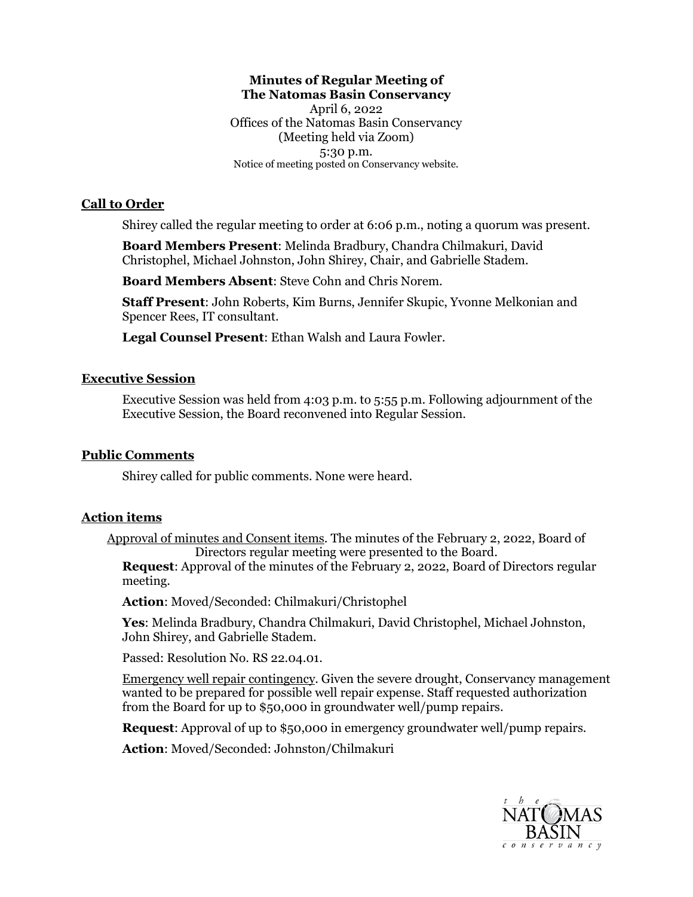# **Minutes of Regular Meeting of The Natomas Basin Conservancy**

 April 6, 2022 5:30 p.m. Offices of the Natomas Basin Conservancy (Meeting held via Zoom) Notice of meeting posted on Conservancy website.

## **Call to Order**

Shirey called the regular meeting to order at 6:06 p.m., noting a quorum was present.

**Board Members Present**: Melinda Bradbury, Chandra Chilmakuri, David Christophel, Michael Johnston, John Shirey, Chair, and Gabrielle Stadem.

**Board Members Absent**: Steve Cohn and Chris Norem.

 **Staff Present**: John Roberts, Kim Burns, Jennifer Skupic, Yvonne Melkonian and Spencer Rees, IT consultant.

**Legal Counsel Present**: Ethan Walsh and Laura Fowler.

### **Executive Session**

 Executive Session was held from 4:03 p.m. to 5:55 p.m. Following adjournment of the Executive Session, the Board reconvened into Regular Session.

## **Public Comments**

Shirey called for public comments. None were heard.

### **Action items**

Approval of minutes and Consent items. The minutes of the February 2, 2022, Board of Directors regular meeting were presented to the Board.

 **Request**: Approval of the minutes of the February 2, 2022, Board of Directors regular meeting.

**Action**: Moved/Seconded: Chilmakuri/Christophel

 **Yes**: Melinda Bradbury, Chandra Chilmakuri, David Christophel, Michael Johnston, John Shirey, and Gabrielle Stadem.

Passed: Resolution No. RS [22.04.01](https://22.04.01).

 wanted to be prepared for possible well repair expense. Staff requested authorization Emergency well repair contingency. Given the severe drought, Conservancy management from the Board for up to \$50,000 in groundwater well/pump repairs.

**Request**: Approval of up to \$50,000 in emergency groundwater well/pump repairs.

**Action**: Moved/Seconded: Johnston/Chilmakuri

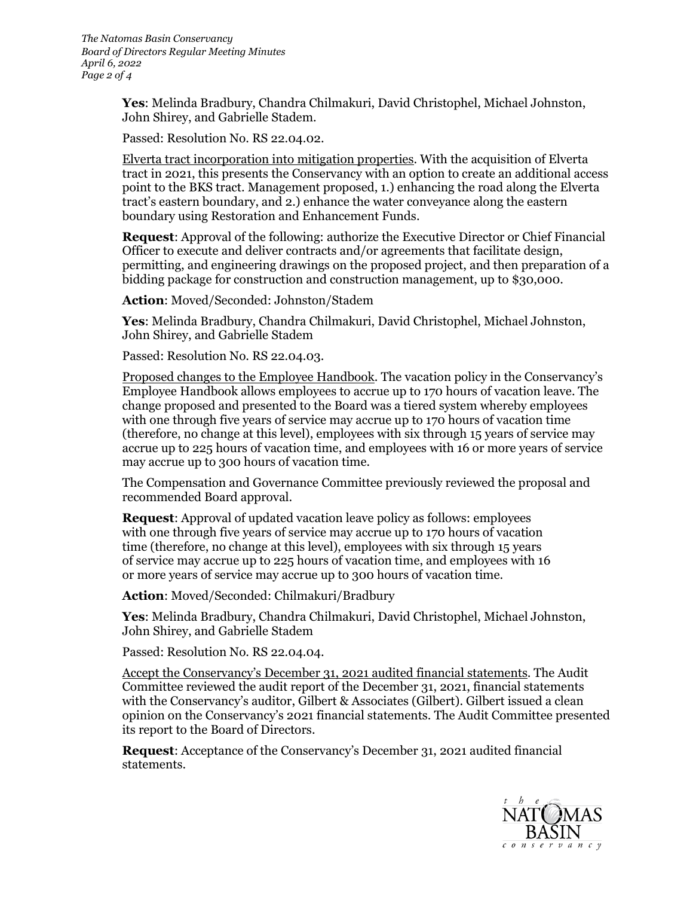*The Natomas Basin Conservancy Board of Directors Regular Meeting Minutes April 6, 2022 Page 2 of 4* 

> **Yes**: Melinda Bradbury, Chandra Chilmakuri, David Christophel, Michael Johnston, John Shirey, and Gabrielle Stadem.

Passed: Resolution No. RS [22.04.02.](https://22.04.02)

 point to the BKS tract. Management proposed, 1.) enhancing the road along the Elverta Elverta tract incorporation into mitigation properties. With the acquisition of Elverta tract in 2021, this presents the Conservancy with an option to create an additional access tract's eastern boundary, and 2.) enhance the water conveyance along the eastern boundary using Restoration and Enhancement Funds.

**Request**: Approval of the following: authorize the Executive Director or Chief Financial Officer to execute and deliver contracts and/or agreements that facilitate design, permitting, and engineering drawings on the proposed project, and then preparation of a bidding package for construction and construction management, up to \$30,000.

**Action**: Moved/Seconded: Johnston/Stadem

 **Yes**: Melinda Bradbury, Chandra Chilmakuri, David Christophel, Michael Johnston, John Shirey, and Gabrielle Stadem

Passed: Resolution No. RS [22.04.03](https://22.04.03).

 accrue up to 225 hours of vacation time, and employees with 16 or more years of service may accrue up to 300 hours of vacation time. Proposed changes to the Employee Handbook. The vacation policy in the Conservancy's Employee Handbook allows employees to accrue up to 170 hours of vacation leave. The change proposed and presented to the Board was a tiered system whereby employees with one through five years of service may accrue up to 170 hours of vacation time (therefore, no change at this level), employees with six through 15 years of service may

The Compensation and Governance Committee previously reviewed the proposal and recommended Board approval.

 **Request**: Approval of updated vacation leave policy as follows: employees with one through five years of service may accrue up to 170 hours of vacation of service may accrue up to 225 hours of vacation time, and employees with 16 or more years of service may accrue up to 300 hours of vacation time. time (therefore, no change at this level), employees with six through 15 years

**Action**: Moved/Seconded: Chilmakuri/Bradbury

 **Yes**: Melinda Bradbury, Chandra Chilmakuri, David Christophel, Michael Johnston, John Shirey, and Gabrielle Stadem

Passed: Resolution No. RS [22.04.04.](https://22.04.04)

 its report to the Board of Directors. Accept the Conservancy's December 31, 2021 audited financial statements. The Audit Committee reviewed the audit report of the December 31, 2021, financial statements with the Conservancy's auditor, Gilbert & Associates (Gilbert). Gilbert issued a clean opinion on the Conservancy's 2021 financial statements. The Audit Committee presented

 **Request**: Acceptance of the Conservancy's December 31, 2021 audited financial statements.

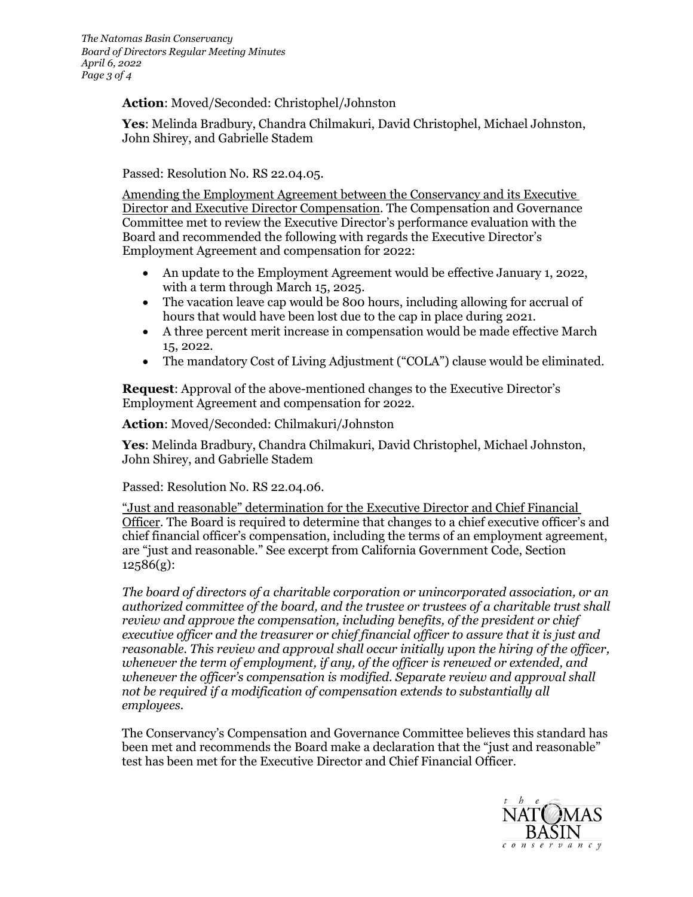## **Action**: Moved/Seconded: Christophel/Johnston

 **Yes**: Melinda Bradbury, Chandra Chilmakuri, David Christophel, Michael Johnston, John Shirey, and Gabrielle Stadem

Passed: Resolution No. RS [22.04.05](https://22.04.05).

 Committee met to review the Executive Director's performance evaluation with the Employment Agreement and compensation for 2022: Amending the Employment Agreement between the Conservancy and its Executive Director and Executive Director Compensation. The Compensation and Governance Board and recommended the following with regards the Executive Director's

- • An update to the Employment Agreement would be effective January 1, 2022, with a term through March 15, 2025.
- • The vacation leave cap would be 800 hours, including allowing for accrual of hours that would have been lost due to the cap in place during 2021.
- • A three percent merit increase in compensation would be made effective March 15, 2022.
- The mandatory Cost of Living Adjustment ("COLA") clause would be eliminated.

 Employment Agreement and compensation for 2022. **Request**: Approval of the above-mentioned changes to the Executive Director's

**Action**: Moved/Seconded: Chilmakuri/Johnston

 **Yes**: Melinda Bradbury, Chandra Chilmakuri, David Christophel, Michael Johnston, John Shirey, and Gabrielle Stadem

Passed: Resolution No. RS [22.04.06.](https://22.04.06)

 "Just and reasonable" determination for the Executive Director and Chief Financial Officer. The Board is required to determine that changes to a chief executive officer's and chief financial officer's compensation, including the terms of an employment agreement, are "just and reasonable." See excerpt from California Government Code, Section 12586(g):

 *The board of directors of a charitable corporation or unincorporated association, or an authorized committee of the board, and the trustee or trustees of a charitable trust shall review and approve the compensation, including benefits, of the president or chief executive officer and the treasurer or chief financial officer to assure that it is just and reasonable. This review and approval shall occur initially upon the hiring of the officer, whenever the term of employment, if any, of the officer is renewed or extended, and whenever the officer's compensation is modified. Separate review and approval shall not be required if a modification of compensation extends to substantially all employees.* 

 The Conservancy's Compensation and Governance Committee believes this standard has been met and recommends the Board make a declaration that the "just and reasonable" test has been met for the Executive Director and Chief Financial Officer.